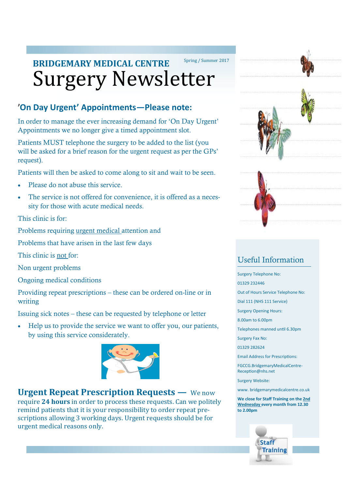# Surgery Newsletter **BRIDGEMARY MEDICAL CENTRE** Spring / Summer 2017

# **'On Day Urgent' Appointments—Please note:**

In order to manage the ever increasing demand for 'On Day Urgent' Appointments we no longer give a timed appointment slot.

Patients MUST telephone the surgery to be added to the list (you will be asked for a brief reason for the urgent request as per the GPs' request).

Patients will then be asked to come along to sit and wait to be seen.

- Please do not abuse this service.
- The service is not offered for convenience, it is offered as a necessity for those with acute medical needs.

This clinic is for:

Problems requiring urgent medical attention and

Problems that have arisen in the last few days

This clinic is not for:

Non urgent problems

Ongoing medical conditions

Providing repeat prescriptions – these can be ordered on-line or in writing

Issuing sick notes – these can be requested by telephone or letter

 Help us to provide the service we want to offer you, our patients, by using this service considerately.



**Urgent Repeat Prescription Requests —** We now require **24 hours** in order to process these requests. Can we politely remind patients that it is your responsibility to order repeat prescriptions allowing 3 working days. Urgent requests should be for urgent medical reasons only.





# Useful Information

Surgery Telephone No:

01329 232446

Out of Hours Service Telephone No:

Dial 111 (NHS 111 Service)

Surgery Opening Hours:

8.00am to 6.00pm

Telephones manned until 6.30pm

Surgery Fax No:

01329 282624

Email Address for Prescriptions:

FGCCG.BridgemaryMedicalCentre-Reception@nhs.net

Surgery Website:

www. bridgemarymedicalcentre.co.uk

**We close for Staff Training on the 2nd Wednesday every month from 12.30 to 2.00pm**